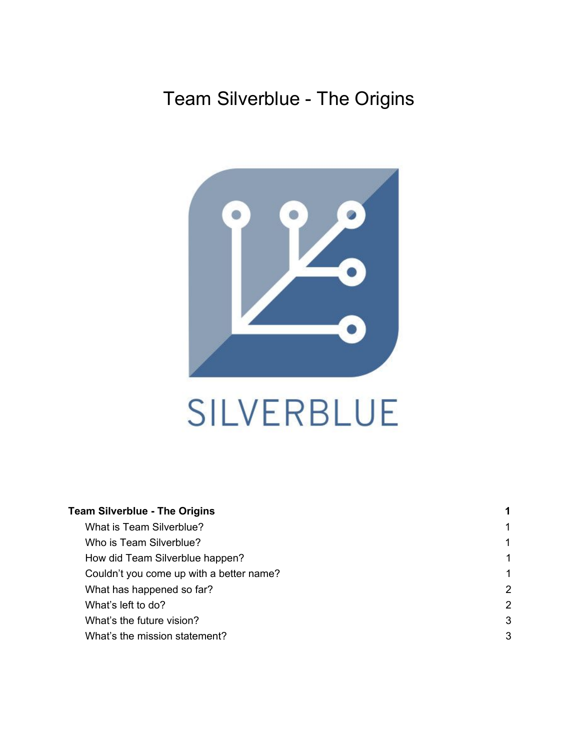# <span id="page-0-0"></span>Team Silverblue - The Origins



| <b>Team Silverblue - The Origins</b>     |   |
|------------------------------------------|---|
| What is Team Silverblue?                 | 1 |
| Who is Team Silverblue?                  | 1 |
| How did Team Silverblue happen?          | 1 |
| Couldn't you come up with a better name? | 1 |
| What has happened so far?                | 2 |
| What's left to do?                       | 2 |
| What's the future vision?                | 3 |
| What's the mission statement?            | 3 |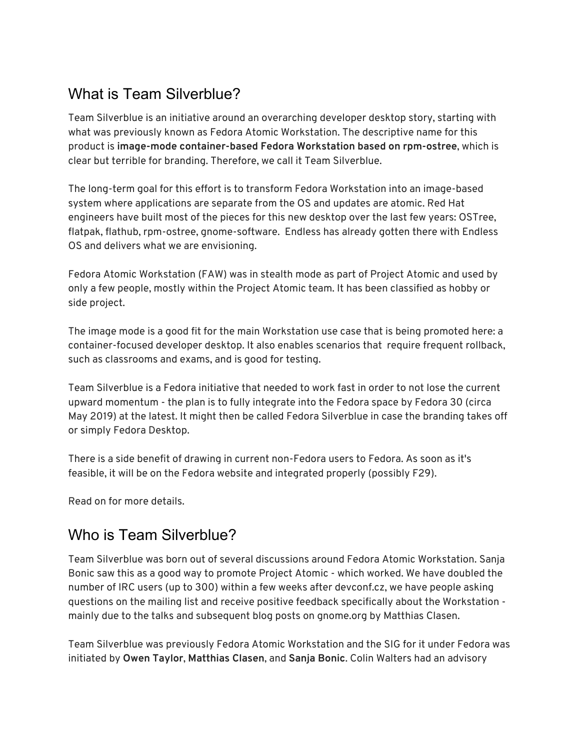# <span id="page-1-0"></span>What is Team Silverblue?

Team Silverblue is an initiative around an overarching developer desktop story, starting with what was previously known as Fedora Atomic Workstation. The descriptive name for this product is **image-mode container-based Fedora Workstation based on rpm-ostree**, which is clear but terrible for branding. Therefore, we call it Team Silverblue.

The long-term goal for this effort is to transform Fedora Workstation into an image-based system where applications are separate from the OS and updates are atomic. Red Hat engineers have built most of the pieces for this new desktop over the last few years: OSTree, flatpak, flathub, rpm-ostree, gnome-software. Endless has already gotten there with Endless OS and delivers what we are envisioning.

Fedora Atomic Workstation (FAW) was in stealth mode as part of Project Atomic and used by only a few people, mostly within the Project Atomic team. It has been classified as hobby or side project.

The image mode is a good fit for the main Workstation use case that is being promoted here: a container-focused developer desktop. It also enables scenarios that require frequent rollback, such as classrooms and exams, and is good for testing.

Team Silverblue is a Fedora initiative that needed to work fast in order to not lose the current upward momentum - the plan is to fully integrate into the Fedora space by Fedora 30 (circa May 2019) at the latest. It might then be called Fedora Silverblue in case the branding takes off or simply Fedora Desktop.

There is a side benefit of drawing in current non-Fedora users to Fedora. As soon as it's feasible, it will be on the Fedora website and integrated properly (possibly F29).

<span id="page-1-1"></span>Read on for more details.

### Who is Team Silverblue?

Team Silverblue was born out of several discussions around Fedora Atomic Workstation. Sanja Bonic saw this as a good way to promote Project Atomic - which worked. We have doubled the number of IRC users (up to 300) within a few weeks after devconf.cz, we have people asking questions on the mailing list and receive positive feedback specifically about the Workstation mainly due to the talks and subsequent blog posts on gnome.org by Matthias Clasen.

Team Silverblue was previously Fedora Atomic Workstation and the SIG for it under Fedora was initiated by **Owen Taylor**, **Matthias Clasen**, and **Sanja Bonic**. Colin Walters had an advisory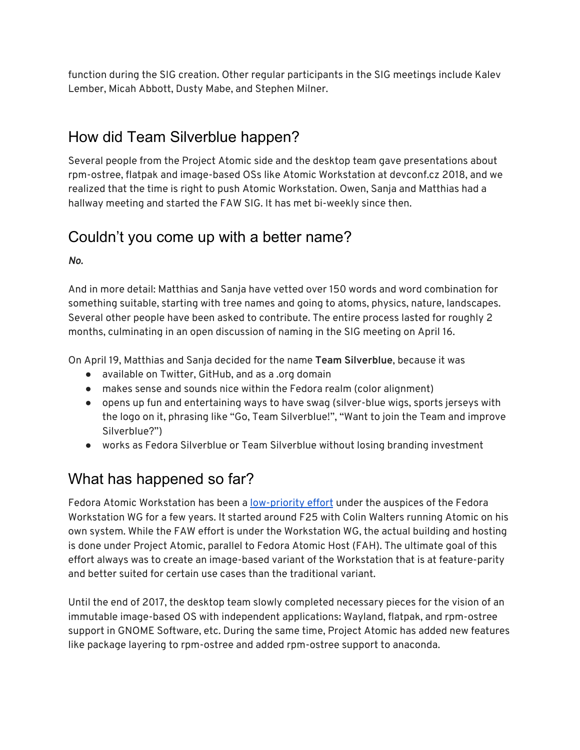function during the SIG creation. Other regular participants in the SIG meetings include Kalev Lember, Micah Abbott, Dusty Mabe, and Stephen Milner.

# <span id="page-2-0"></span>How did Team Silverblue happen?

Several people from the Project Atomic side and the desktop team gave presentations about rpm-ostree, flatpak and image-based OSs like Atomic Workstation at devconf.cz 2018, and we realized that the time is right to push Atomic Workstation. Owen, Sanja and Matthias had a hallway meeting and started the FAW SIG. It has met bi-weekly since then.

### <span id="page-2-1"></span>Couldn't you come up with a better name?

*No.*

And in more detail: Matthias and Sanja have vetted over 150 words and word combination for something suitable, starting with tree names and going to atoms, physics, nature, landscapes. Several other people have been asked to contribute. The entire process lasted for roughly 2 months, culminating in an open discussion of naming in the SIG meeting on April 16.

On April 19, Matthias and Sanja decided for the name **Team Silverblue**, because it was

- available on Twitter, GitHub, and as a .org domain
- makes sense and sounds nice within the Fedora realm (color alignment)
- opens up fun and entertaining ways to have swag (silver-blue wigs, sports jerseys with the logo on it, phrasing like "Go, Team Silverblue!", "Want to join the Team and improve Silverblue?")
- works as Fedora Silverblue or Team Silverblue without losing branding investment

# <span id="page-2-2"></span>What has happened so far?

Fedora Atomic Workstation has been a [low-priority](https://fedoraproject.org/wiki/Workstation/AtomicWorkstation) effort under the auspices of the Fedora Workstation WG for a few years. It started around F25 with Colin Walters running Atomic on his own system. While the FAW effort is under the Workstation WG, the actual building and hosting is done under Project Atomic, parallel to Fedora Atomic Host (FAH). The ultimate goal of this effort always was to create an image-based variant of the Workstation that is at feature-parity and better suited for certain use cases than the traditional variant.

Until the end of 2017, the desktop team slowly completed necessary pieces for the vision of an immutable image-based OS with independent applications: Wayland, flatpak, and rpm-ostree support in GNOME Software, etc. During the same time, Project Atomic has added new features like package layering to rpm-ostree and added rpm-ostree support to anaconda.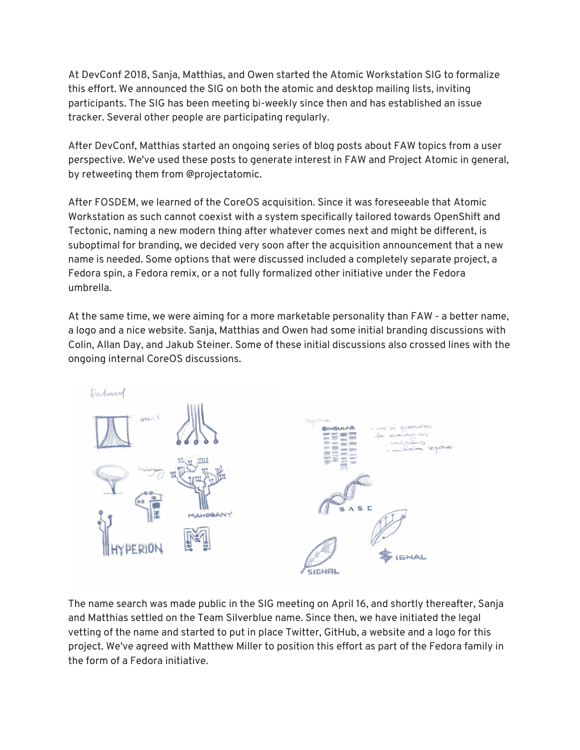At DevConf 2018, Sanja, Matthias, and Owen started the Atomic Workstation SIG to formalize this effort. We announced the SIG on both the atomic and desktop mailing lists, inviting participants. The SIG has been meeting bi-weekly since then and has established an issue tracker. Several other people are participating regularly.

After DevConf, Matthias started an ongoing series of blog posts about FAW topics from a user perspective. We've used these posts to generate interest in FAW and Project Atomic in general, by retweeting them from @projectatomic.

After FOSDEM, we learned of the CoreOS acquisition. Since it was foreseeable that Atomic Workstation as such cannot coexist with a system specifically tailored towards OpenShift and Tectonic, naming a new modern thing after whatever comes next and might be different, is suboptimal for branding, we decided very soon after the acquisition announcement that a new name is needed. Some options that were discussed included a completely separate project, a Fedora spin, a Fedora remix, or a not fully formalized other initiative under the Fedora umbrella.

At the same time, we were aiming for a more marketable personality than FAW - a better name, a logo and a nice website. Sanja, Matthias and Owen had some initial branding discussions with Colin, Allan Day, and Jakub Steiner. Some of these initial discussions also crossed lines with the ongoing internal CoreOS discussions.



The name search was made public in the SIG meeting on April 16, and shortly thereafter, Sanja and Matthias settled on the Team Silverblue name. Since then, we have initiated the legal vetting of the name and started to put in place Twitter, GitHub, a website and a logo for this project. We've agreed with Matthew Miller to position this effort as part of the Fedora family in the form of a Fedora initiative.